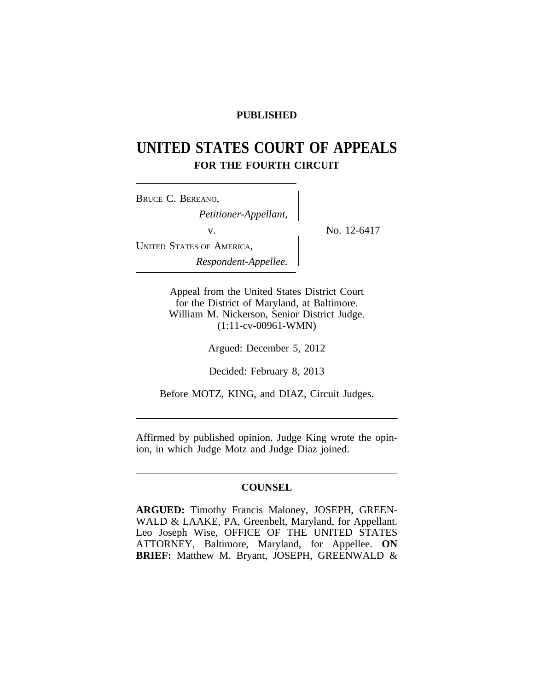# **PUBLISHED**

# **UNITED STATES COURT OF APPEALS FOR THE FOURTH CIRCUIT**

<sup>B</sup>RUCE C. BEREANO, *Petitioner-Appellant,* v.  $\qquad \qquad \}$  No. 12-6417 UNITED STATES OF AMERICA, *Respondent-Appellee.*

Appeal from the United States District Court for the District of Maryland, at Baltimore. William M. Nickerson, Senior District Judge. (1:11-cv-00961-WMN)

Argued: December 5, 2012

Decided: February 8, 2013

Before MOTZ, KING, and DIAZ, Circuit Judges.

Affirmed by published opinion. Judge King wrote the opinion, in which Judge Motz and Judge Diaz joined.

# **COUNSEL**

**ARGUED:** Timothy Francis Maloney, JOSEPH, GREEN-WALD & LAAKE, PA, Greenbelt, Maryland, for Appellant. Leo Joseph Wise, OFFICE OF THE UNITED STATES ATTORNEY, Baltimore, Maryland, for Appellee. **ON BRIEF:** Matthew M. Bryant, JOSEPH, GREENWALD &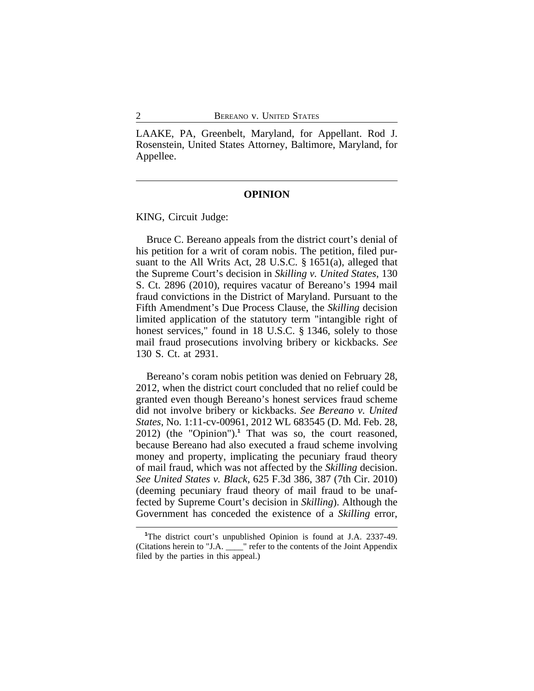LAAKE, PA, Greenbelt, Maryland, for Appellant. Rod J. Rosenstein, United States Attorney, Baltimore, Maryland, for Appellee.

#### **OPINION**

KING, Circuit Judge:

Bruce C. Bereano appeals from the district court's denial of his petition for a writ of coram nobis. The petition, filed pursuant to the All Writs Act, 28 U.S.C. § 1651(a), alleged that the Supreme Court's decision in *Skilling v. United States*, 130 S. Ct. 2896 (2010), requires vacatur of Bereano's 1994 mail fraud convictions in the District of Maryland. Pursuant to the Fifth Amendment's Due Process Clause, the *Skilling* decision limited application of the statutory term "intangible right of honest services," found in 18 U.S.C. § 1346, solely to those mail fraud prosecutions involving bribery or kickbacks. *See* 130 S. Ct. at 2931.

Bereano's coram nobis petition was denied on February 28, 2012, when the district court concluded that no relief could be granted even though Bereano's honest services fraud scheme did not involve bribery or kickbacks. *See Bereano v. United States*, No. 1:11-cv-00961, 2012 WL 683545 (D. Md. Feb. 28, 2012) (the "Opinion").**<sup>1</sup>** That was so, the court reasoned, because Bereano had also executed a fraud scheme involving money and property, implicating the pecuniary fraud theory of mail fraud, which was not affected by the *Skilling* decision. *See United States v. Black*, 625 F.3d 386, 387 (7th Cir. 2010) (deeming pecuniary fraud theory of mail fraud to be unaffected by Supreme Court's decision in *Skilling*). Although the Government has conceded the existence of a *Skilling* error,

**<sup>1</sup>**The district court's unpublished Opinion is found at J.A. 2337-49. (Citations herein to "J.A. \_\_\_\_" refer to the contents of the Joint Appendix filed by the parties in this appeal.)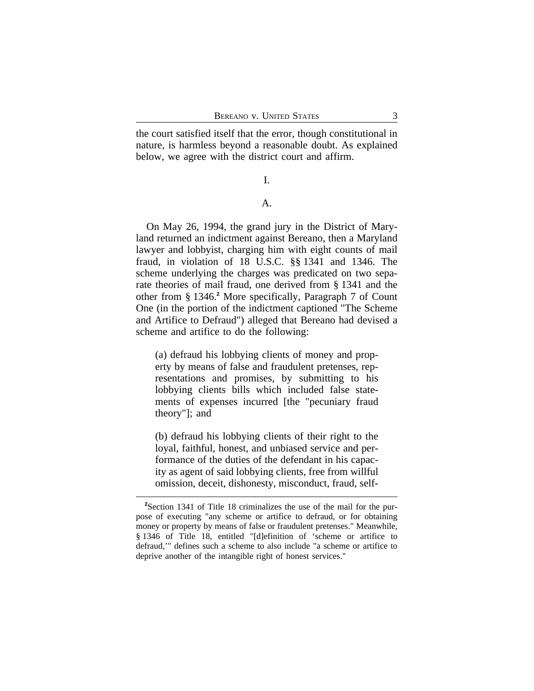the court satisfied itself that the error, though constitutional in nature, is harmless beyond a reasonable doubt. As explained below, we agree with the district court and affirm.

## I.

# A.

On May 26, 1994, the grand jury in the District of Maryland returned an indictment against Bereano, then a Maryland lawyer and lobbyist, charging him with eight counts of mail fraud, in violation of 18 U.S.C. §§ 1341 and 1346. The scheme underlying the charges was predicated on two separate theories of mail fraud, one derived from § 1341 and the other from § 1346.**<sup>2</sup>** More specifically, Paragraph 7 of Count One (in the portion of the indictment captioned "The Scheme and Artifice to Defraud") alleged that Bereano had devised a scheme and artifice to do the following:

(a) defraud his lobbying clients of money and property by means of false and fraudulent pretenses, representations and promises, by submitting to his lobbying clients bills which included false statements of expenses incurred [the "pecuniary fraud theory"]; and

(b) defraud his lobbying clients of their right to the loyal, faithful, honest, and unbiased service and performance of the duties of the defendant in his capacity as agent of said lobbying clients, free from willful omission, deceit, dishonesty, misconduct, fraud, self-

**<sup>2</sup>**Section 1341 of Title 18 criminalizes the use of the mail for the purpose of executing "any scheme or artifice to defraud, or for obtaining money or property by means of false or fraudulent pretenses." Meanwhile, § 1346 of Title 18, entitled "[d]efinition of 'scheme or artifice to defraud,'" defines such a scheme to also include "a scheme or artifice to deprive another of the intangible right of honest services."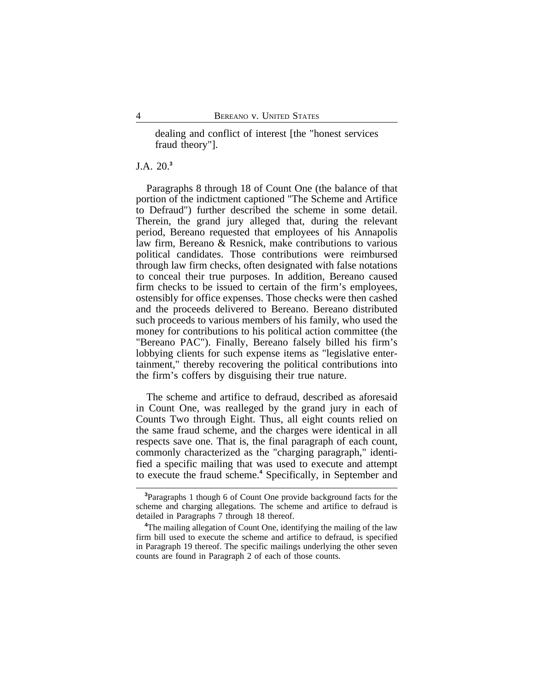dealing and conflict of interest [the "honest services fraud theory"].

# J.A. 20.**<sup>3</sup>**

Paragraphs 8 through 18 of Count One (the balance of that portion of the indictment captioned "The Scheme and Artifice to Defraud") further described the scheme in some detail. Therein, the grand jury alleged that, during the relevant period, Bereano requested that employees of his Annapolis law firm, Bereano & Resnick, make contributions to various political candidates. Those contributions were reimbursed through law firm checks, often designated with false notations to conceal their true purposes. In addition, Bereano caused firm checks to be issued to certain of the firm's employees, ostensibly for office expenses. Those checks were then cashed and the proceeds delivered to Bereano. Bereano distributed such proceeds to various members of his family, who used the money for contributions to his political action committee (the "Bereano PAC"). Finally, Bereano falsely billed his firm's lobbying clients for such expense items as "legislative entertainment," thereby recovering the political contributions into the firm's coffers by disguising their true nature.

The scheme and artifice to defraud, described as aforesaid in Count One, was realleged by the grand jury in each of Counts Two through Eight. Thus, all eight counts relied on the same fraud scheme, and the charges were identical in all respects save one. That is, the final paragraph of each count, commonly characterized as the "charging paragraph," identified a specific mailing that was used to execute and attempt to execute the fraud scheme.<sup>4</sup> Specifically, in September and

**<sup>3</sup>**Paragraphs 1 though 6 of Count One provide background facts for the scheme and charging allegations. The scheme and artifice to defraud is detailed in Paragraphs 7 through 18 thereof.

<sup>&</sup>lt;sup>4</sup>The mailing allegation of Count One, identifying the mailing of the law firm bill used to execute the scheme and artifice to defraud, is specified in Paragraph 19 thereof. The specific mailings underlying the other seven counts are found in Paragraph 2 of each of those counts.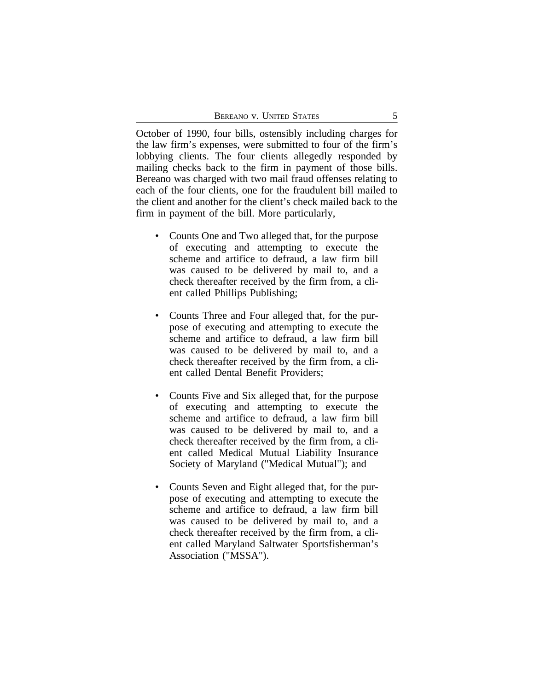October of 1990, four bills, ostensibly including charges for the law firm's expenses, were submitted to four of the firm's lobbying clients. The four clients allegedly responded by mailing checks back to the firm in payment of those bills. Bereano was charged with two mail fraud offenses relating to each of the four clients, one for the fraudulent bill mailed to the client and another for the client's check mailed back to the firm in payment of the bill. More particularly,

- Counts One and Two alleged that, for the purpose of executing and attempting to execute the scheme and artifice to defraud, a law firm bill was caused to be delivered by mail to, and a check thereafter received by the firm from, a client called Phillips Publishing;
- Counts Three and Four alleged that, for the purpose of executing and attempting to execute the scheme and artifice to defraud, a law firm bill was caused to be delivered by mail to, and a check thereafter received by the firm from, a client called Dental Benefit Providers;
- Counts Five and Six alleged that, for the purpose of executing and attempting to execute the scheme and artifice to defraud, a law firm bill was caused to be delivered by mail to, and a check thereafter received by the firm from, a client called Medical Mutual Liability Insurance Society of Maryland ("Medical Mutual"); and
- Counts Seven and Eight alleged that, for the purpose of executing and attempting to execute the scheme and artifice to defraud, a law firm bill was caused to be delivered by mail to, and a check thereafter received by the firm from, a client called Maryland Saltwater Sportsfisherman's Association ("MSSA").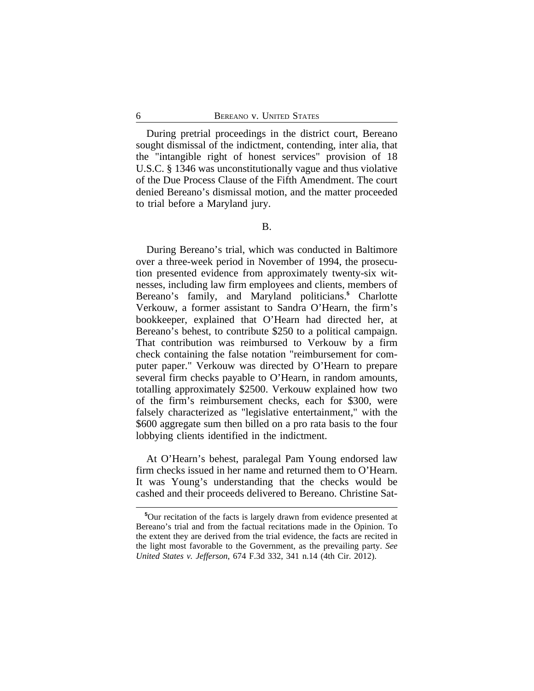During pretrial proceedings in the district court, Bereano sought dismissal of the indictment, contending, inter alia, that the "intangible right of honest services" provision of 18 U.S.C. § 1346 was unconstitutionally vague and thus violative of the Due Process Clause of the Fifth Amendment. The court denied Bereano's dismissal motion, and the matter proceeded to trial before a Maryland jury.

During Bereano's trial, which was conducted in Baltimore over a three-week period in November of 1994, the prosecution presented evidence from approximately twenty-six witnesses, including law firm employees and clients, members of Bereano's family, and Maryland politicians.**<sup>5</sup>** Charlotte Verkouw, a former assistant to Sandra O'Hearn, the firm's bookkeeper, explained that O'Hearn had directed her, at Bereano's behest, to contribute \$250 to a political campaign. That contribution was reimbursed to Verkouw by a firm check containing the false notation "reimbursement for computer paper." Verkouw was directed by O'Hearn to prepare several firm checks payable to O'Hearn, in random amounts, totalling approximately \$2500. Verkouw explained how two of the firm's reimbursement checks, each for \$300, were falsely characterized as "legislative entertainment," with the \$600 aggregate sum then billed on a pro rata basis to the four lobbying clients identified in the indictment.

At O'Hearn's behest, paralegal Pam Young endorsed law firm checks issued in her name and returned them to O'Hearn. It was Young's understanding that the checks would be cashed and their proceeds delivered to Bereano. Christine Sat-

**<sup>5</sup>**Our recitation of the facts is largely drawn from evidence presented at Bereano's trial and from the factual recitations made in the Opinion. To the extent they are derived from the trial evidence, the facts are recited in the light most favorable to the Government, as the prevailing party. *See United States v. Jefferson*, 674 F.3d 332, 341 n.14 (4th Cir. 2012).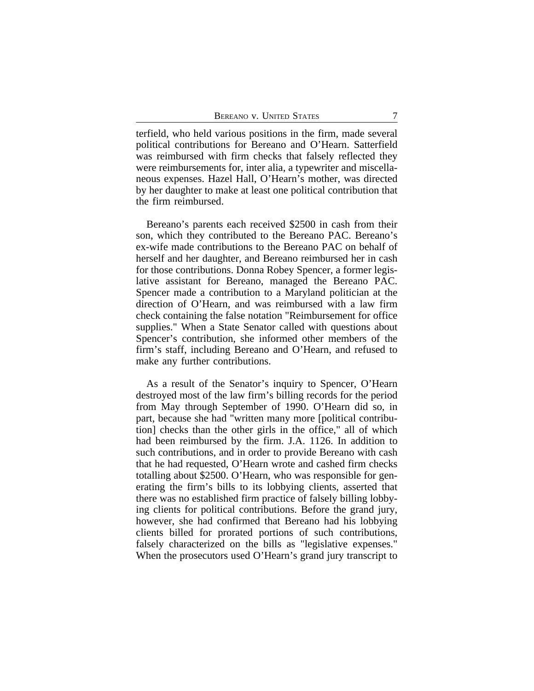terfield, who held various positions in the firm, made several political contributions for Bereano and O'Hearn. Satterfield was reimbursed with firm checks that falsely reflected they were reimbursements for, inter alia, a typewriter and miscellaneous expenses. Hazel Hall, O'Hearn's mother, was directed by her daughter to make at least one political contribution that the firm reimbursed.

Bereano's parents each received \$2500 in cash from their son, which they contributed to the Bereano PAC. Bereano's ex-wife made contributions to the Bereano PAC on behalf of herself and her daughter, and Bereano reimbursed her in cash for those contributions. Donna Robey Spencer, a former legislative assistant for Bereano, managed the Bereano PAC. Spencer made a contribution to a Maryland politician at the direction of O'Hearn, and was reimbursed with a law firm check containing the false notation "Reimbursement for office supplies." When a State Senator called with questions about Spencer's contribution, she informed other members of the firm's staff, including Bereano and O'Hearn, and refused to make any further contributions.

As a result of the Senator's inquiry to Spencer, O'Hearn destroyed most of the law firm's billing records for the period from May through September of 1990. O'Hearn did so, in part, because she had "written many more [political contribution] checks than the other girls in the office," all of which had been reimbursed by the firm. J.A. 1126. In addition to such contributions, and in order to provide Bereano with cash that he had requested, O'Hearn wrote and cashed firm checks totalling about \$2500. O'Hearn, who was responsible for generating the firm's bills to its lobbying clients, asserted that there was no established firm practice of falsely billing lobbying clients for political contributions. Before the grand jury, however, she had confirmed that Bereano had his lobbying clients billed for prorated portions of such contributions, falsely characterized on the bills as "legislative expenses." When the prosecutors used O'Hearn's grand jury transcript to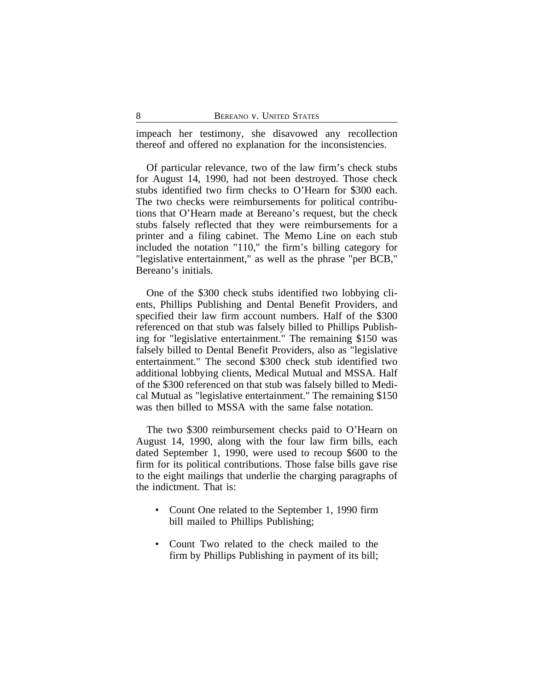impeach her testimony, she disavowed any recollection thereof and offered no explanation for the inconsistencies.

Of particular relevance, two of the law firm's check stubs for August 14, 1990, had not been destroyed. Those check stubs identified two firm checks to O'Hearn for \$300 each. The two checks were reimbursements for political contributions that O'Hearn made at Bereano's request, but the check stubs falsely reflected that they were reimbursements for a printer and a filing cabinet. The Memo Line on each stub included the notation "110," the firm's billing category for "legislative entertainment," as well as the phrase "per BCB," Bereano's initials.

One of the \$300 check stubs identified two lobbying clients, Phillips Publishing and Dental Benefit Providers, and specified their law firm account numbers. Half of the \$300 referenced on that stub was falsely billed to Phillips Publishing for "legislative entertainment." The remaining \$150 was falsely billed to Dental Benefit Providers, also as "legislative entertainment." The second \$300 check stub identified two additional lobbying clients, Medical Mutual and MSSA. Half of the \$300 referenced on that stub was falsely billed to Medical Mutual as "legislative entertainment." The remaining \$150 was then billed to MSSA with the same false notation.

The two \$300 reimbursement checks paid to O'Hearn on August 14, 1990, along with the four law firm bills, each dated September 1, 1990, were used to recoup \$600 to the firm for its political contributions. Those false bills gave rise to the eight mailings that underlie the charging paragraphs of the indictment. That is:

- Count One related to the September 1, 1990 firm bill mailed to Phillips Publishing;
- Count Two related to the check mailed to the firm by Phillips Publishing in payment of its bill;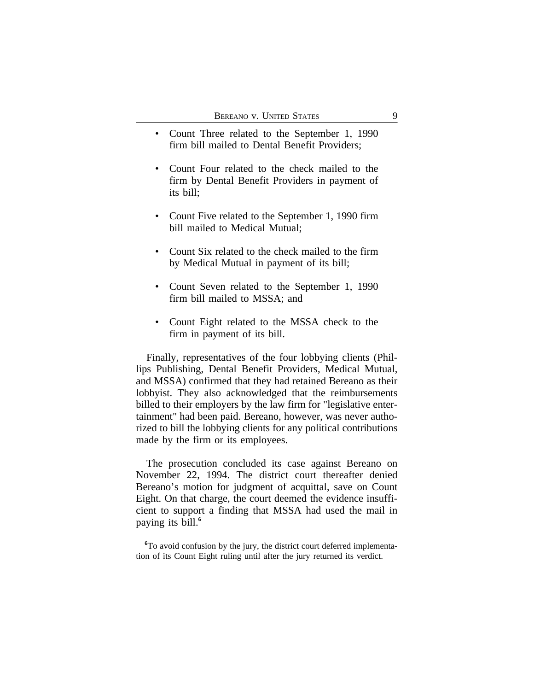- Count Three related to the September 1, 1990 firm bill mailed to Dental Benefit Providers;
- Count Four related to the check mailed to the firm by Dental Benefit Providers in payment of its bill;
- Count Five related to the September 1, 1990 firm bill mailed to Medical Mutual;
- Count Six related to the check mailed to the firm by Medical Mutual in payment of its bill;
- Count Seven related to the September 1, 1990 firm bill mailed to MSSA; and
- Count Eight related to the MSSA check to the firm in payment of its bill.

Finally, representatives of the four lobbying clients (Phillips Publishing, Dental Benefit Providers, Medical Mutual, and MSSA) confirmed that they had retained Bereano as their lobbyist. They also acknowledged that the reimbursements billed to their employers by the law firm for "legislative entertainment" had been paid. Bereano, however, was never authorized to bill the lobbying clients for any political contributions made by the firm or its employees.

The prosecution concluded its case against Bereano on November 22, 1994. The district court thereafter denied Bereano's motion for judgment of acquittal, save on Count Eight. On that charge, the court deemed the evidence insufficient to support a finding that MSSA had used the mail in paying its bill.**<sup>6</sup>**

**<sup>6</sup>**To avoid confusion by the jury, the district court deferred implementation of its Count Eight ruling until after the jury returned its verdict.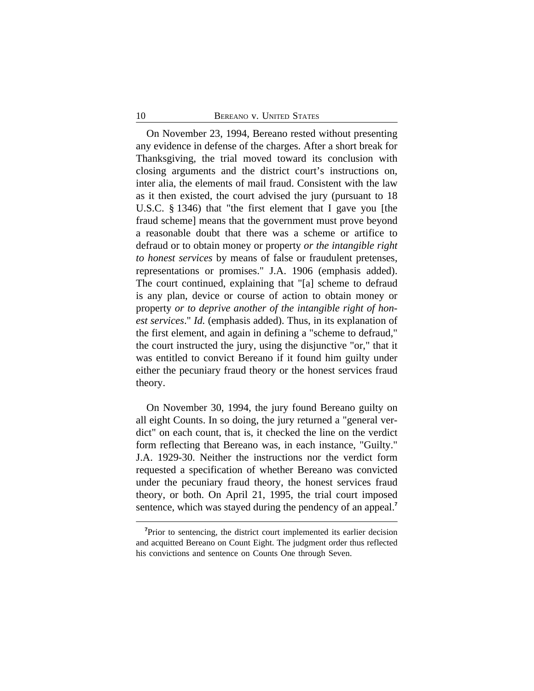#### 10 **BEREANO V. UNITED STATES**

On November 23, 1994, Bereano rested without presenting any evidence in defense of the charges. After a short break for Thanksgiving, the trial moved toward its conclusion with closing arguments and the district court's instructions on, inter alia, the elements of mail fraud. Consistent with the law as it then existed, the court advised the jury (pursuant to 18 U.S.C. § 1346) that "the first element that I gave you [the fraud scheme] means that the government must prove beyond a reasonable doubt that there was a scheme or artifice to defraud or to obtain money or property *or the intangible right to honest services* by means of false or fraudulent pretenses, representations or promises." J.A. 1906 (emphasis added). The court continued, explaining that "[a] scheme to defraud is any plan, device or course of action to obtain money or property *or to deprive another of the intangible right of honest services*." *Id.* (emphasis added). Thus, in its explanation of the first element, and again in defining a "scheme to defraud," the court instructed the jury, using the disjunctive "or," that it was entitled to convict Bereano if it found him guilty under either the pecuniary fraud theory or the honest services fraud theory.

On November 30, 1994, the jury found Bereano guilty on all eight Counts. In so doing, the jury returned a "general verdict" on each count, that is, it checked the line on the verdict form reflecting that Bereano was, in each instance, "Guilty." J.A. 1929-30. Neither the instructions nor the verdict form requested a specification of whether Bereano was convicted under the pecuniary fraud theory, the honest services fraud theory, or both. On April 21, 1995, the trial court imposed sentence, which was stayed during the pendency of an appeal.**<sup>7</sup>**

<sup>&</sup>lt;sup>7</sup>Prior to sentencing, the district court implemented its earlier decision and acquitted Bereano on Count Eight. The judgment order thus reflected his convictions and sentence on Counts One through Seven.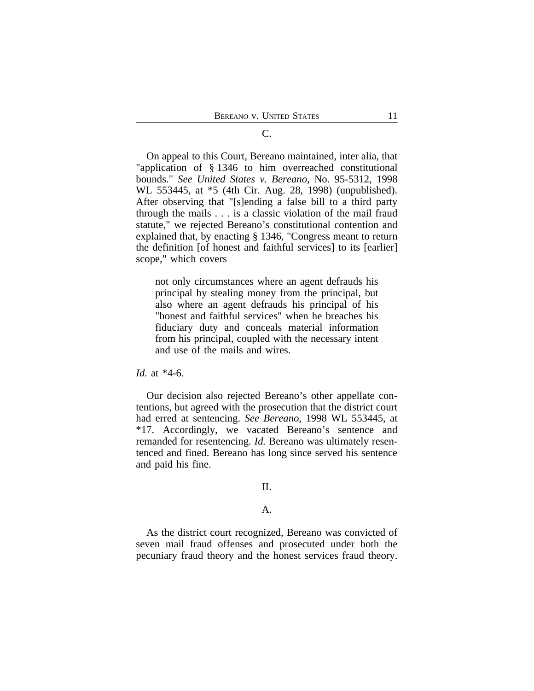# On appeal to this Court, Bereano maintained, inter alia, that "application of § 1346 to him overreached constitutional bounds." *See United States v. Bereano*, No. 95-5312, 1998 WL 553445, at \*5 (4th Cir. Aug. 28, 1998) (unpublished). After observing that "[s]ending a false bill to a third party through the mails . . . is a classic violation of the mail fraud statute," we rejected Bereano's constitutional contention and explained that, by enacting § 1346, "Congress meant to return the definition [of honest and faithful services] to its [earlier] scope," which covers

not only circumstances where an agent defrauds his principal by stealing money from the principal, but also where an agent defrauds his principal of his "honest and faithful services" when he breaches his fiduciary duty and conceals material information from his principal, coupled with the necessary intent and use of the mails and wires.

#### *Id.* at \*4-6.

Our decision also rejected Bereano's other appellate contentions, but agreed with the prosecution that the district court had erred at sentencing. *See Bereano*, 1998 WL 553445, at \*17. Accordingly, we vacated Bereano's sentence and remanded for resentencing. *Id.* Bereano was ultimately resentenced and fined. Bereano has long since served his sentence and paid his fine.

# II.

#### A.

As the district court recognized, Bereano was convicted of seven mail fraud offenses and prosecuted under both the pecuniary fraud theory and the honest services fraud theory.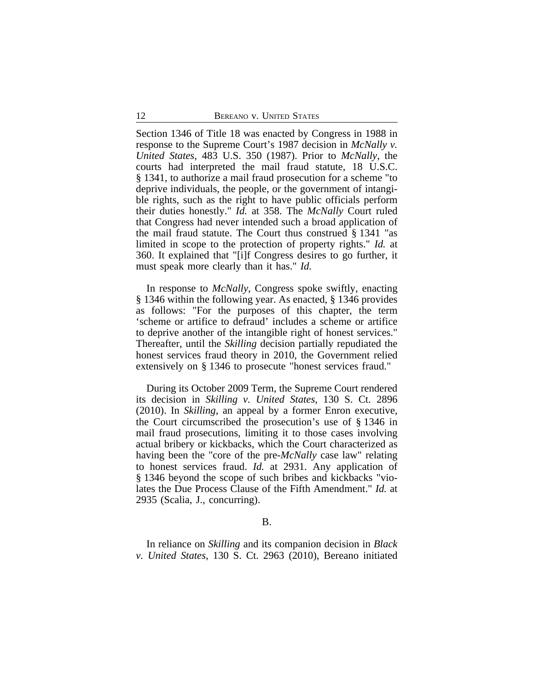Section 1346 of Title 18 was enacted by Congress in 1988 in response to the Supreme Court's 1987 decision in *McNally v. United States*, 483 U.S. 350 (1987). Prior to *McNally*, the courts had interpreted the mail fraud statute, 18 U.S.C. § 1341, to authorize a mail fraud prosecution for a scheme "to deprive individuals, the people, or the government of intangible rights, such as the right to have public officials perform their duties honestly." *Id.* at 358. The *McNally* Court ruled that Congress had never intended such a broad application of the mail fraud statute. The Court thus construed § 1341 "as limited in scope to the protection of property rights." *Id.* at 360. It explained that "[i]f Congress desires to go further, it must speak more clearly than it has." *Id.*

In response to *McNally*, Congress spoke swiftly, enacting § 1346 within the following year. As enacted, § 1346 provides as follows: "For the purposes of this chapter, the term 'scheme or artifice to defraud' includes a scheme or artifice to deprive another of the intangible right of honest services." Thereafter, until the *Skilling* decision partially repudiated the honest services fraud theory in 2010, the Government relied extensively on § 1346 to prosecute "honest services fraud."

During its October 2009 Term, the Supreme Court rendered its decision in *Skilling v. United States*, 130 S. Ct. 2896 (2010). In *Skilling*, an appeal by a former Enron executive, the Court circumscribed the prosecution's use of § 1346 in mail fraud prosecutions, limiting it to those cases involving actual bribery or kickbacks, which the Court characterized as having been the "core of the pre-*McNally* case law" relating to honest services fraud. *Id.* at 2931. Any application of § 1346 beyond the scope of such bribes and kickbacks "violates the Due Process Clause of the Fifth Amendment." *Id.* at 2935 (Scalia, J., concurring).

#### B.

In reliance on *Skilling* and its companion decision in *Black v. United States*, 130 S. Ct. 2963 (2010), Bereano initiated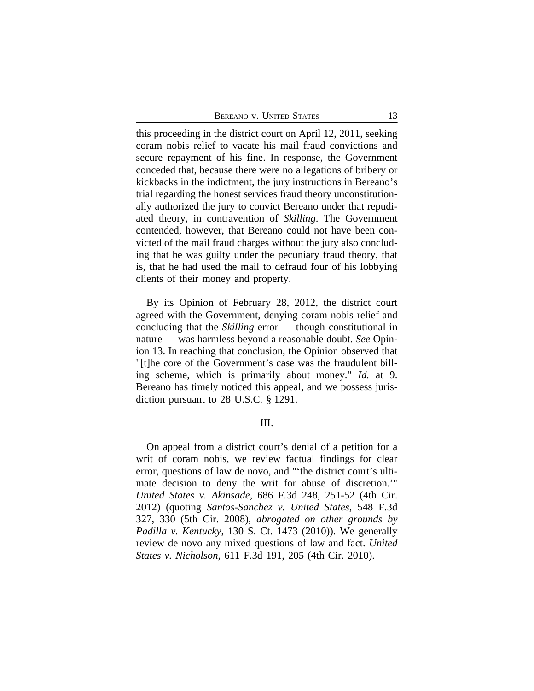| 13 |
|----|
|    |

this proceeding in the district court on April 12, 2011, seeking coram nobis relief to vacate his mail fraud convictions and secure repayment of his fine. In response, the Government conceded that, because there were no allegations of bribery or kickbacks in the indictment, the jury instructions in Bereano's trial regarding the honest services fraud theory unconstitutionally authorized the jury to convict Bereano under that repudiated theory, in contravention of *Skilling*. The Government contended, however, that Bereano could not have been convicted of the mail fraud charges without the jury also concluding that he was guilty under the pecuniary fraud theory, that is, that he had used the mail to defraud four of his lobbying clients of their money and property.

By its Opinion of February 28, 2012, the district court agreed with the Government, denying coram nobis relief and concluding that the *Skilling* error — though constitutional in nature — was harmless beyond a reasonable doubt. *See* Opinion 13. In reaching that conclusion, the Opinion observed that "[t]he core of the Government's case was the fraudulent billing scheme, which is primarily about money." *Id.* at 9. Bereano has timely noticed this appeal, and we possess jurisdiction pursuant to 28 U.S.C. § 1291.

#### III.

On appeal from a district court's denial of a petition for a writ of coram nobis, we review factual findings for clear error, questions of law de novo, and "'the district court's ultimate decision to deny the writ for abuse of discretion.'" *United States v. Akinsade*, 686 F.3d 248, 251-52 (4th Cir. 2012) (quoting *Santos-Sanchez v. United States*, 548 F.3d 327, 330 (5th Cir. 2008), *abrogated on other grounds by Padilla v. Kentucky*, 130 S. Ct. 1473 (2010)). We generally review de novo any mixed questions of law and fact. *United States v. Nicholson*, 611 F.3d 191, 205 (4th Cir. 2010).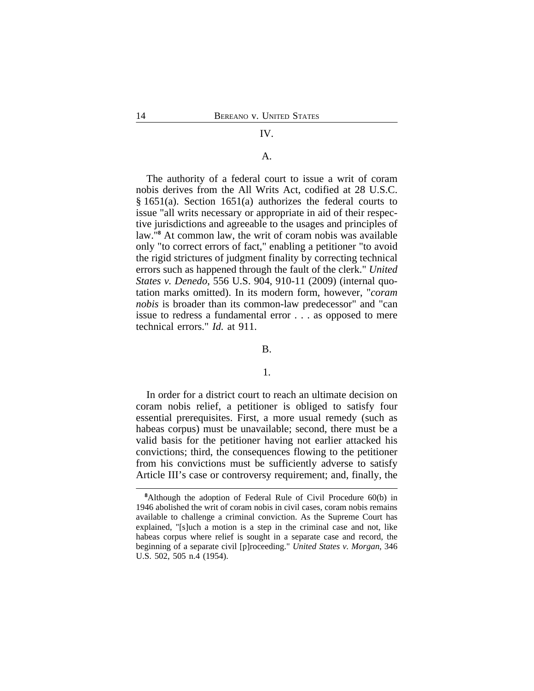#### IV.

## A.

The authority of a federal court to issue a writ of coram nobis derives from the All Writs Act, codified at 28 U.S.C. § 1651(a). Section 1651(a) authorizes the federal courts to issue "all writs necessary or appropriate in aid of their respective jurisdictions and agreeable to the usages and principles of law."**<sup>8</sup>** At common law, the writ of coram nobis was available only "to correct errors of fact," enabling a petitioner "to avoid the rigid strictures of judgment finality by correcting technical errors such as happened through the fault of the clerk." *United States v. Denedo*, 556 U.S. 904, 910-11 (2009) (internal quotation marks omitted). In its modern form, however, "*coram nobis* is broader than its common-law predecessor" and "can issue to redress a fundamental error . . . as opposed to mere technical errors." *Id.* at 911.

#### B.

#### 1.

In order for a district court to reach an ultimate decision on coram nobis relief, a petitioner is obliged to satisfy four essential prerequisites. First, a more usual remedy (such as habeas corpus) must be unavailable; second, there must be a valid basis for the petitioner having not earlier attacked his convictions; third, the consequences flowing to the petitioner from his convictions must be sufficiently adverse to satisfy Article III's case or controversy requirement; and, finally, the

**<sup>8</sup>**Although the adoption of Federal Rule of Civil Procedure 60(b) in 1946 abolished the writ of coram nobis in civil cases, coram nobis remains available to challenge a criminal conviction. As the Supreme Court has explained, "[s]uch a motion is a step in the criminal case and not, like habeas corpus where relief is sought in a separate case and record, the beginning of a separate civil [p]roceeding." *United States v. Morgan*, 346 U.S. 502, 505 n.4 (1954).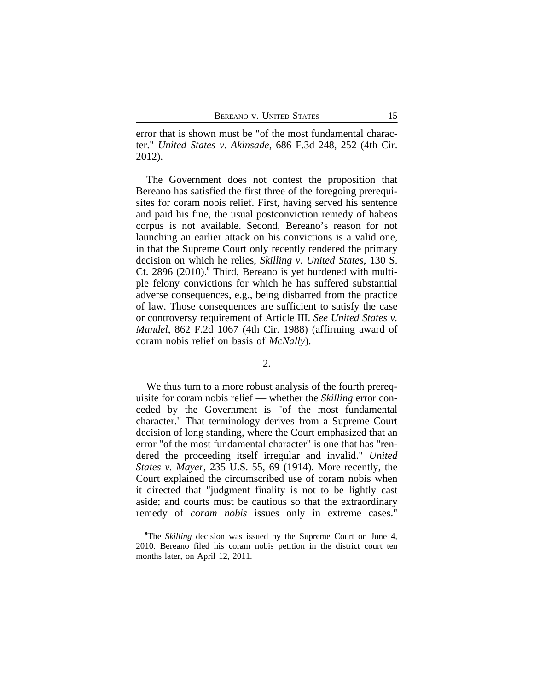error that is shown must be "of the most fundamental character." *United States v. Akinsade*, 686 F.3d 248, 252 (4th Cir. 2012).

The Government does not contest the proposition that Bereano has satisfied the first three of the foregoing prerequisites for coram nobis relief. First, having served his sentence and paid his fine, the usual postconviction remedy of habeas corpus is not available. Second, Bereano's reason for not launching an earlier attack on his convictions is a valid one, in that the Supreme Court only recently rendered the primary decision on which he relies, *Skilling v. United States*, 130 S. Ct. 2896 (2010).**<sup>9</sup>** Third, Bereano is yet burdened with multiple felony convictions for which he has suffered substantial adverse consequences, e.g., being disbarred from the practice of law. Those consequences are sufficient to satisfy the case or controversy requirement of Article III. *See United States v. Mandel*, 862 F.2d 1067 (4th Cir. 1988) (affirming award of coram nobis relief on basis of *McNally*).

#### 2.

We thus turn to a more robust analysis of the fourth prerequisite for coram nobis relief — whether the *Skilling* error conceded by the Government is "of the most fundamental character." That terminology derives from a Supreme Court decision of long standing, where the Court emphasized that an error "of the most fundamental character" is one that has "rendered the proceeding itself irregular and invalid." *United States v. Mayer*, 235 U.S. 55, 69 (1914). More recently, the Court explained the circumscribed use of coram nobis when it directed that "judgment finality is not to be lightly cast aside; and courts must be cautious so that the extraordinary remedy of *coram nobis* issues only in extreme cases."

**<sup>9</sup>**The *Skilling* decision was issued by the Supreme Court on June 4, 2010. Bereano filed his coram nobis petition in the district court ten months later, on April 12, 2011.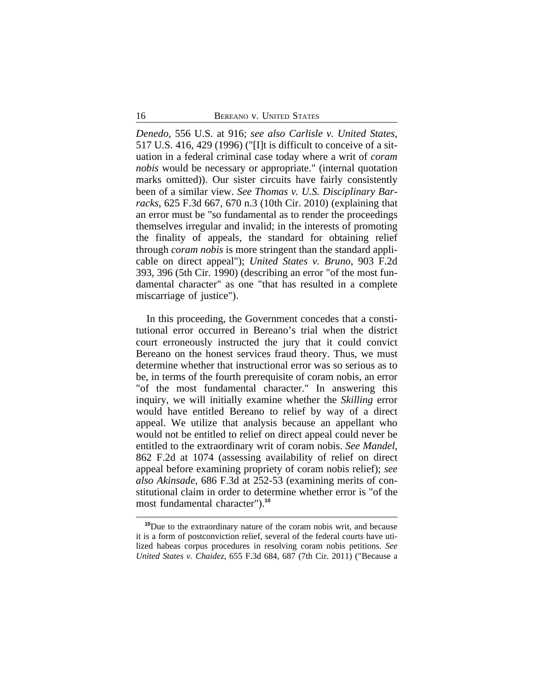*Denedo*, 556 U.S. at 916; *see also Carlisle v. United States*, 517 U.S. 416, 429 (1996) ("[I]t is difficult to conceive of a situation in a federal criminal case today where a writ of *coram nobis* would be necessary or appropriate." (internal quotation marks omitted)). Our sister circuits have fairly consistently been of a similar view. *See Thomas v. U.S. Disciplinary Barracks*, 625 F.3d 667, 670 n.3 (10th Cir. 2010) (explaining that an error must be "so fundamental as to render the proceedings themselves irregular and invalid; in the interests of promoting the finality of appeals, the standard for obtaining relief through *coram nobis* is more stringent than the standard applicable on direct appeal"); *United States v. Bruno*, 903 F.2d 393, 396 (5th Cir. 1990) (describing an error "of the most fundamental character" as one "that has resulted in a complete miscarriage of justice").

In this proceeding, the Government concedes that a constitutional error occurred in Bereano's trial when the district court erroneously instructed the jury that it could convict Bereano on the honest services fraud theory. Thus, we must determine whether that instructional error was so serious as to be, in terms of the fourth prerequisite of coram nobis, an error "of the most fundamental character." In answering this inquiry, we will initially examine whether the *Skilling* error would have entitled Bereano to relief by way of a direct appeal. We utilize that analysis because an appellant who would not be entitled to relief on direct appeal could never be entitled to the extraordinary writ of coram nobis. *See Mandel*, 862 F.2d at 1074 (assessing availability of relief on direct appeal before examining propriety of coram nobis relief); *see also Akinsade*, 686 F.3d at 252-53 (examining merits of constitutional claim in order to determine whether error is "of the most fundamental character").**<sup>10</sup>**

**<sup>10</sup>**Due to the extraordinary nature of the coram nobis writ, and because it is a form of postconviction relief, several of the federal courts have utilized habeas corpus procedures in resolving coram nobis petitions. *See United States v. Chaidez*, 655 F.3d 684, 687 (7th Cir. 2011) ("Because a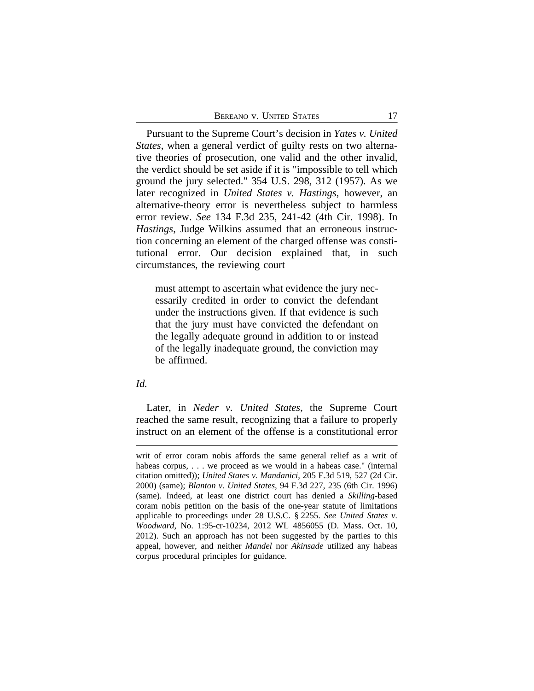Pursuant to the Supreme Court's decision in *Yates v. United States*, when a general verdict of guilty rests on two alternative theories of prosecution, one valid and the other invalid, the verdict should be set aside if it is "impossible to tell which ground the jury selected." 354 U.S. 298, 312 (1957). As we later recognized in *United States v. Hastings*, however, an alternative-theory error is nevertheless subject to harmless error review. *See* 134 F.3d 235, 241-42 (4th Cir. 1998). In *Hastings*, Judge Wilkins assumed that an erroneous instruction concerning an element of the charged offense was constitutional error. Our decision explained that, in such circumstances, the reviewing court

must attempt to ascertain what evidence the jury necessarily credited in order to convict the defendant under the instructions given. If that evidence is such that the jury must have convicted the defendant on the legally adequate ground in addition to or instead of the legally inadequate ground, the conviction may be affirmed.

## *Id.*

Later, in *Neder v. United States*, the Supreme Court reached the same result, recognizing that a failure to properly instruct on an element of the offense is a constitutional error

writ of error coram nobis affords the same general relief as a writ of habeas corpus, . . . we proceed as we would in a habeas case." (internal citation omitted)); *United States v. Mandanici*, 205 F.3d 519, 527 (2d Cir. 2000) (same); *Blanton v. United States*, 94 F.3d 227, 235 (6th Cir. 1996) (same). Indeed, at least one district court has denied a *Skilling*-based coram nobis petition on the basis of the one-year statute of limitations applicable to proceedings under 28 U.S.C. § 2255. *See United States v. Woodward*, No. 1:95-cr-10234, 2012 WL 4856055 (D. Mass. Oct. 10, 2012). Such an approach has not been suggested by the parties to this appeal, however, and neither *Mandel* nor *Akinsade* utilized any habeas corpus procedural principles for guidance.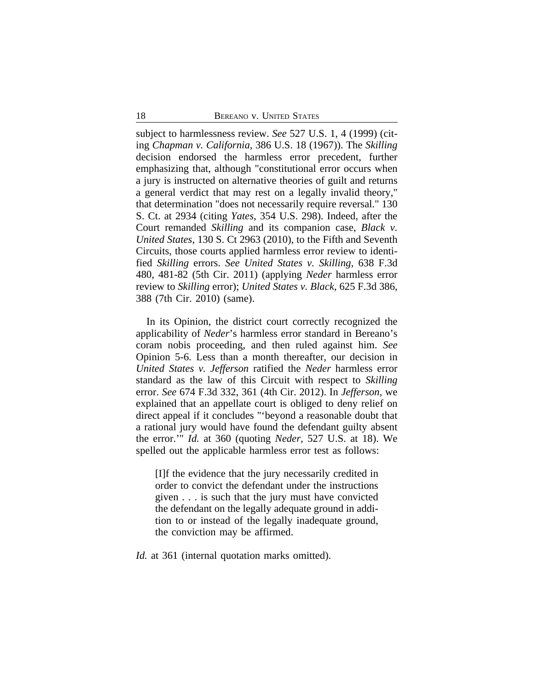subject to harmlessness review. *See* 527 U.S. 1, 4 (1999) (citing *Chapman v. California*, 386 U.S. 18 (1967)). The *Skilling* decision endorsed the harmless error precedent, further emphasizing that, although "constitutional error occurs when a jury is instructed on alternative theories of guilt and returns a general verdict that may rest on a legally invalid theory," that determination "does not necessarily require reversal." 130 S. Ct. at 2934 (citing *Yates*, 354 U.S. 298). Indeed, after the Court remanded *Skilling* and its companion case, *Black v. United States*, 130 S. Ct 2963 (2010), to the Fifth and Seventh Circuits, those courts applied harmless error review to identified *Skilling* errors. *See United States v. Skilling*, 638 F.3d 480, 481-82 (5th Cir. 2011) (applying *Neder* harmless error review to *Skilling* error); *United States v. Black*, 625 F.3d 386, 388 (7th Cir. 2010) (same).

In its Opinion, the district court correctly recognized the applicability of *Neder*'s harmless error standard in Bereano's coram nobis proceeding, and then ruled against him. *See* Opinion 5-6. Less than a month thereafter, our decision in *United States v. Jefferson* ratified the *Neder* harmless error standard as the law of this Circuit with respect to *Skilling* error. *See* 674 F.3d 332, 361 (4th Cir. 2012). In *Jefferson*, we explained that an appellate court is obliged to deny relief on direct appeal if it concludes "'beyond a reasonable doubt that a rational jury would have found the defendant guilty absent the error.'" *Id.* at 360 (quoting *Neder*, 527 U.S. at 18). We spelled out the applicable harmless error test as follows:

[I]f the evidence that the jury necessarily credited in order to convict the defendant under the instructions given . . . is such that the jury must have convicted the defendant on the legally adequate ground in addition to or instead of the legally inadequate ground, the conviction may be affirmed.

*Id.* at 361 (internal quotation marks omitted).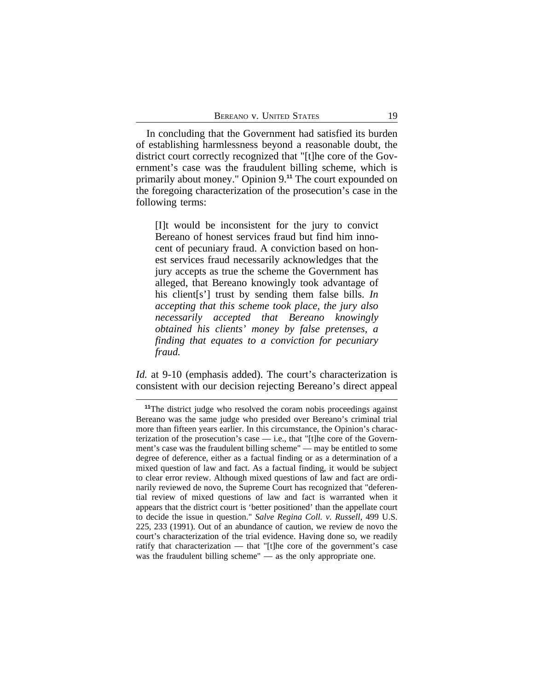In concluding that the Government had satisfied its burden of establishing harmlessness beyond a reasonable doubt, the district court correctly recognized that "[t]he core of the Government's case was the fraudulent billing scheme, which is primarily about money." Opinion 9.**<sup>11</sup>** The court expounded on the foregoing characterization of the prosecution's case in the following terms:

[I]t would be inconsistent for the jury to convict Bereano of honest services fraud but find him innocent of pecuniary fraud. A conviction based on honest services fraud necessarily acknowledges that the jury accepts as true the scheme the Government has alleged, that Bereano knowingly took advantage of his client[s'] trust by sending them false bills. *In accepting that this scheme took place, the jury also necessarily accepted that Bereano knowingly obtained his clients' money by false pretenses, a finding that equates to a conviction for pecuniary fraud.*

*Id.* at 9-10 (emphasis added). The court's characterization is consistent with our decision rejecting Bereano's direct appeal

<sup>&</sup>lt;sup>11</sup>The district judge who resolved the coram nobis proceedings against Bereano was the same judge who presided over Bereano's criminal trial more than fifteen years earlier. In this circumstance, the Opinion's characterization of the prosecution's case — i.e., that "[t]he core of the Government's case was the fraudulent billing scheme" — may be entitled to some degree of deference, either as a factual finding or as a determination of a mixed question of law and fact. As a factual finding, it would be subject to clear error review. Although mixed questions of law and fact are ordinarily reviewed de novo, the Supreme Court has recognized that "deferential review of mixed questions of law and fact is warranted when it appears that the district court is 'better positioned' than the appellate court to decide the issue in question." *Salve Regina Coll. v. Russell*, 499 U.S. 225, 233 (1991). Out of an abundance of caution, we review de novo the court's characterization of the trial evidence. Having done so, we readily ratify that characterization — that "[t]he core of the government's case was the fraudulent billing scheme" — as the only appropriate one.